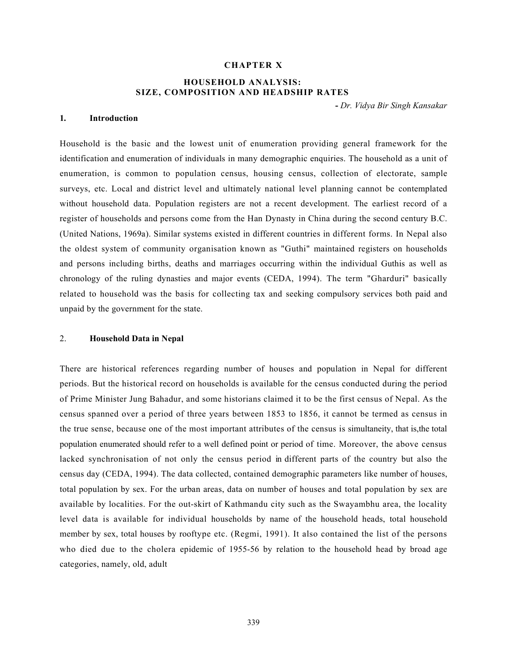## CHAPTER X

# HOUSEHOLD ANALYSIS: SIZE, COMPOSITION AND HEADSHIP RATES

- Dr. Vidya Bir Singh Kansakar

### 1. Introduction

Household is the basic and the lowest unit of enumeration providing general framework for the identification and enumeration of individuals in many demographic enquiries. The household as a unit of enumeration, is common to population census, housing census, collection of electorate, sample surveys, etc. Local and district level and ultimately national level planning cannot be contemplated without household data. Population registers are not a recent development. The earliest record of a register of households and persons come from the Han Dynasty in China during the second century B.C. (United Nations, 1969a). Similar systems existed in different countries in different forms. In Nepal also the oldest system of community organisation known as "Guthi" maintained registers on households and persons including births, deaths and marriages occurring within the individual Guthis as well as chronology of the ruling dynasties and major events (CEDA, 1994). The term "Gharduri" basically related to household was the basis for collecting tax and seeking compulsory services both paid and unpaid by the government for the state.

## 2. Household Data in Nepal

There are historical references regarding number of houses and population in Nepal for different periods. But the historical record on households is available for the census conducted during the period of Prime Minister Jung Bahadur, and some historians claimed it to be the first census of Nepal. As the census spanned over a period of three years between 1853 to 1856, it cannot be termed as census in the true sense, because one of the most important attributes of the census is simultaneity, that is,the total population enumerated should refer to a well defined point or period of time. Moreover, the above census lacked synchronisation of not only the census period in different parts of the country but also the census day (CEDA, 1994). The data collected, contained demographic parameters like number of houses, total population by sex. For the urban areas, data on number of houses and total population by sex are available by localities. For the out-skirt of Kathmandu city such as the Swayambhu area, the locality level data is available for individual households by name of the household heads, total household member by sex, total houses by rooftype etc. (Regmi, 1991). It also contained the list of the persons who died due to the cholera epidemic of 1955-56 by relation to the household head by broad age categories, namely, old, adult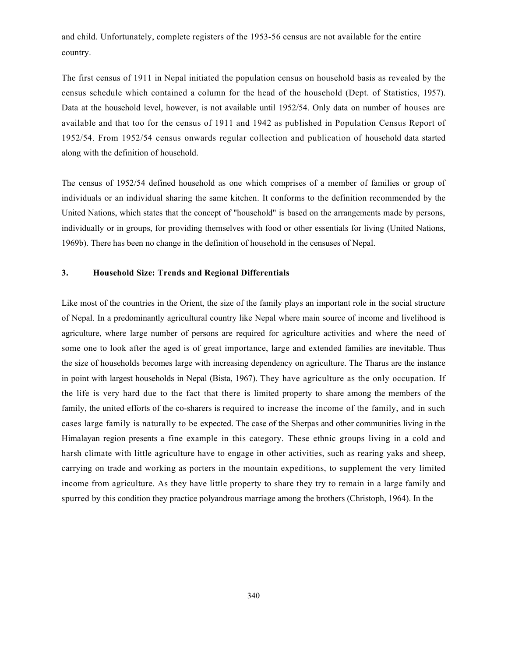and child. Unfortunately, complete registers of the 1953-56 census are not available for the entire country.

The first census of 1911 in Nepal initiated the population census on household basis as revealed by the census schedule which contained a column for the head of the household (Dept. of Statistics, 1957). Data at the household level, however, is not available until 1952/54. Only data on number of houses are available and that too for the census of 1911 and 1942 as published in Population Census Report of 1952/54. From 1952/54 census onwards regular collection and publication of household data started along with the definition of household.

The census of 1952/54 defined household as one which comprises of a member of families or group of individuals or an individual sharing the same kitchen. It conforms to the definition recommended by the United Nations, which states that the concept of "household" is based on the arrangements made by persons, individually or in groups, for providing themselves with food or other essentials for living (United Nations, 1969b). There has been no change in the definition of household in the censuses of Nepal.

## 3. Household Size: Trends and Regional Differentials

Like most of the countries in the Orient, the size of the family plays an important role in the social structure of Nepal. In a predominantly agricultural country like Nepal where main source of income and livelihood is agriculture, where large number of persons are required for agriculture activities and where the need of some one to look after the aged is of great importance, large and extended families are inevitable. Thus the size of households becomes large with increasing dependency on agriculture. The Tharus are the instance in point with largest households in Nepal (Bista, 1967). They have agriculture as the only occupation. If the life is very hard due to the fact that there is limited property to share among the members of the family, the united efforts of the co-sharers is required to increase the income of the family, and in such cases large family is naturally to be expected. The case of the Sherpas and other communities living in the Himalayan region presents a fine example in this category. These ethnic groups living in a cold and harsh climate with little agriculture have to engage in other activities, such as rearing yaks and sheep, carrying on trade and working as porters in the mountain expeditions, to supplement the very limited income from agriculture. As they have little property to share they try to remain in a large family and spurred by this condition they practice polyandrous marriage among the brothers (Christoph, 1964). In the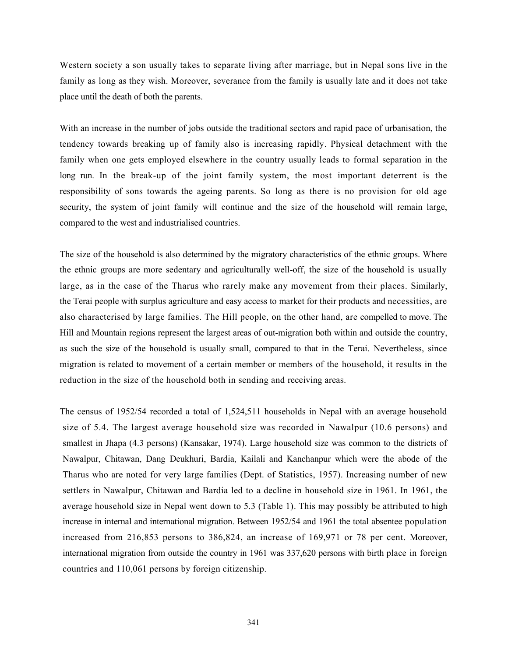Western society a son usually takes to separate living after marriage, but in Nepal sons live in the family as long as they wish. Moreover, severance from the family is usually late and it does not take place until the death of both the parents.

With an increase in the number of jobs outside the traditional sectors and rapid pace of urbanisation, the tendency towards breaking up of family also is increasing rapidly. Physical detachment with the family when one gets employed elsewhere in the country usually leads to formal separation in the long run. In the break-up of the joint family system, the most important deterrent is the responsibility of sons towards the ageing parents. So long as there is no provision for old age security, the system of joint family will continue and the size of the household will remain large, compared to the west and industrialised countries.

The size of the household is also determined by the migratory characteristics of the ethnic groups. Where the ethnic groups are more sedentary and agriculturally well-off, the size of the household is usually large, as in the case of the Tharus who rarely make any movement from their places. Similarly, the Terai people with surplus agriculture and easy access to market for their products and necessities, are also characterised by large families. The Hill people, on the other hand, are compelled to move. The Hill and Mountain regions represent the largest areas of out-migration both within and outside the country, as such the size of the household is usually small, compared to that in the Terai. Nevertheless, since migration is related to movement of a certain member or members of the household, it results in the reduction in the size of the household both in sending and receiving areas.

The census of 1952/54 recorded a total of 1,524,511 households in Nepal with an average household size of 5.4. The largest average household size was recorded in Nawalpur (10.6 persons) and smallest in Jhapa (4.3 persons) (Kansakar, 1974). Large household size was common to the districts of Nawalpur, Chitawan, Dang Deukhuri, Bardia, Kailali and Kanchanpur which were the abode of the Tharus who are noted for very large families (Dept. of Statistics, 1957). Increasing number of new settlers in Nawalpur, Chitawan and Bardia led to a decline in household size in 1961. In 1961, the average household size in Nepal went down to 5.3 (Table 1). This may possibly be attributed to high increase in internal and international migration. Between 1952/54 and 1961 the total absentee population increased from 216,853 persons to 386,824, an increase of 169,971 or 78 per cent. Moreover, international migration from outside the country in 1961 was 337,620 persons with birth place in foreign countries and 110,061 persons by foreign citizenship.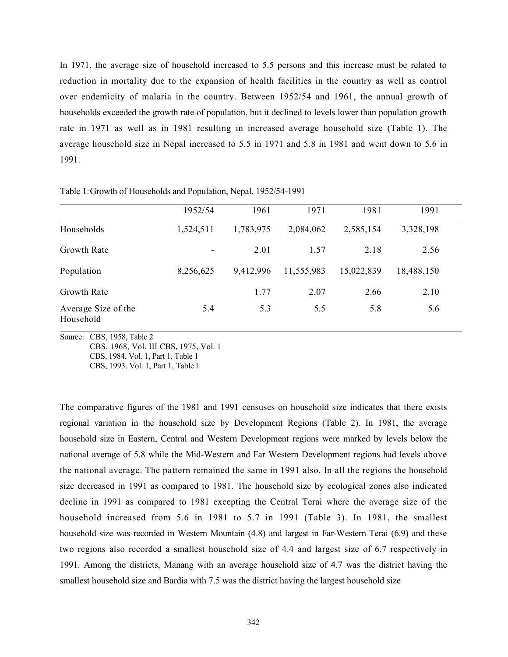In 1971, the average size of household increased to 5.5 persons and this increase must be related to reduction in mortality due to the expansion of health facilities in the country as well as control over endemicity of malaria in the country. Between 1952/54 and 1961, the annual growth of households exceeded the growth rate of population, but it declined to levels lower than population growth rate in 1971 as well as in 1981 resulting in increased average household size (Table 1). The average household size in Nepal increased to 5.5 in 1971 and 5.8 in 1981 and went down to 5.6 in 1991.

|                                  | 1952/54                  | 1961      | 1971       | 1981       | 1991       |  |
|----------------------------------|--------------------------|-----------|------------|------------|------------|--|
| Households                       | 1,524,511                | 1,783,975 | 2,084,062  | 2,585,154  | 3,328,198  |  |
| <b>Growth Rate</b>               | $\overline{\phantom{a}}$ | 2.01      | 1.57       | 2.18       | 2.56       |  |
| Population                       | 8,256,625                | 9,412,996 | 11,555,983 | 15,022,839 | 18,488,150 |  |
| Growth Rate                      |                          | 1.77      | 2.07       | 2.66       | 2.10       |  |
| Average Size of the<br>Household | 5.4                      | 5.3       | 5.5        | 5.8        | 5.6        |  |

Table 1: Growth of Households and Population, Nepal, 1952/54-1991

Source: CBS, 1958, Table 2

CBS, 1968, Vol. III CBS, 1975, Vol. 1

CBS, 1984, Vol. 1, Part 1, Table 1

CBS, 1993, Vol. 1, Part 1, Table l.

The comparative figures of the 1981 and 1991 censuses on household size indicates that there exists regional variation in the household size by Development Regions (Table 2). In 1981, the average household size in Eastern, Central and Western Development regions were marked by levels below the national average of 5.8 while the Mid-Western and Far Western Development regions had levels above the national average. The pattern remained the same in 1991 also. In all the regions the household size decreased in 1991 as compared to 1981. The household size by ecological zones also indicated decline in 1991 as compared to 1981 excepting the Central Terai where the average size of the household increased from 5.6 in 1981 to 5.7 in 1991 (Table 3). In 1981, the smallest household size was recorded in Western Mountain (4.8) and largest in Far-Western Terai (6.9) and these two regions also recorded a smallest household size of 4.4 and largest size of 6.7 respectively in 1991. Among the districts, Manang with an average household size of 4.7 was the district having the smallest household size and Bardia with 7.5 was the district having the largest household size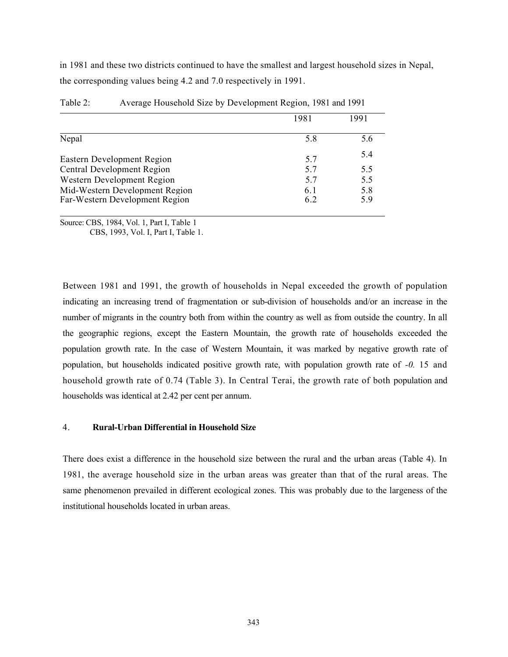in 1981 and these two districts continued to have the smallest and largest household sizes in Nepal, the corresponding values being 4.2 and 7.0 respectively in 1991.

|                                                                  | 1981       | 1991       |
|------------------------------------------------------------------|------------|------------|
| Nepal                                                            | 5.8        | 5.6        |
| Eastern Development Region                                       | 5.7        | 5.4        |
| <b>Central Development Region</b>                                | 5.7        | 5.5        |
| Western Development Region                                       | 5.7        | 5.5        |
| Mid-Western Development Region<br>Far-Western Development Region | 6.1<br>6.2 | 5.8<br>5.9 |

| Table 2: | Average Household Size by Development Region, 1981 and 1991 |  |
|----------|-------------------------------------------------------------|--|
|          |                                                             |  |

Source: CBS, 1984, Vol. 1, Part I, Table 1

CBS, 1993, Vol. I, Part I, Table 1.

Between 1981 and 1991, the growth of households in Nepal exceeded the growth of population indicating an increasing trend of fragmentation or sub-division of households and/or an increase in the number of migrants in the country both from within the country as well as from outside the country. In all the geographic regions, except the Eastern Mountain, the growth rate of households exceeded the population growth rate. In the case of Western Mountain, it was marked by negative growth rate of population, but households indicated positive growth rate, with population growth rate of -0. 15 and household growth rate of 0.74 (Table 3). In Central Terai, the growth rate of both population and households was identical at 2.42 per cent per annum.

## 4. Rural-Urban Differential in Household Size

There does exist a difference in the household size between the rural and the urban areas (Table 4). In 1981, the average household size in the urban areas was greater than that of the rural areas. The same phenomenon prevailed in different ecological zones. This was probably due to the largeness of the institutional households located in urban areas.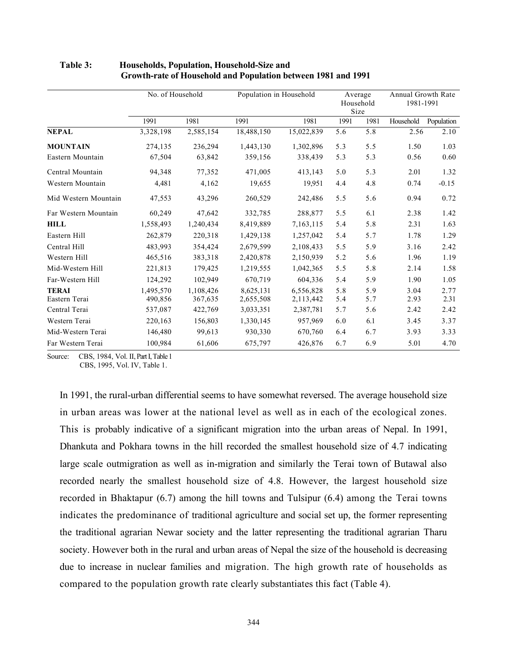|                      | No. of Household |           |            | Population in Household |      |      | Annual Growth Rate<br>1981-1991 |            |
|----------------------|------------------|-----------|------------|-------------------------|------|------|---------------------------------|------------|
|                      | 1991             | 1981      | 1991       | 1981                    | 1991 | 1981 | Household                       | Population |
| <b>NEPAL</b>         | 3,328,198        | 2,585,154 | 18,488,150 | 15,022,839              | 5.6  | 5.8  | 2.56                            | 2.10       |
| <b>MOUNTAIN</b>      | 274,135          | 236,294   | 1,443,130  | 1,302,896               | 5.3  | 5.5  | 1.50                            | 1.03       |
| Eastern Mountain     | 67,504           | 63,842    | 359,156    | 338,439                 | 5.3  | 5.3  | 0.56                            | 0.60       |
| Central Mountain     | 94,348           | 77,352    | 471,005    | 413,143                 | 5.0  | 5.3  | 2.01                            | 1.32       |
| Western Mountain     | 4,481            | 4,162     | 19,655     | 19,951                  | 4.4  | 4.8  | 0.74                            | $-0.15$    |
| Mid Western Mountain | 47,553           | 43,296    | 260,529    | 242,486                 | 5.5  | 5.6  | 0.94                            | 0.72       |
| Far Western Mountain | 60,249           | 47,642    | 332,785    | 288,877                 | 5.5  | 6.1  | 2.38                            | 1.42       |
| <b>HILL</b>          | 1,558,493        | 1,240,434 | 8,419,889  | 7,163,115               | 5.4  | 5.8  | 2.31                            | 1.63       |
| Eastern Hill         | 262,879          | 220,318   | 1,429,138  | 1,257,042               | 5.4  | 5.7  | 1.78                            | 1.29       |
| Central Hill         | 483,993          | 354,424   | 2,679,599  | 2,108,433               | 5.5  | 5.9  | 3.16                            | 2.42       |
| Western Hill         | 465,516          | 383,318   | 2,420,878  | 2,150,939               | 5.2  | 5.6  | 1.96                            | 1.19       |
| Mid-Western Hill     | 221,813          | 179,425   | 1,219,555  | 1,042,365               | 5.5  | 5.8  | 2.14                            | 1.58       |
| Far-Western Hill     | 124,292          | 102,949   | 670,719    | 604,336                 | 5.4  | 5.9  | 1.90                            | 1.05       |
| <b>TERAI</b>         | 1,495,570        | 1,108,426 | 8,625,131  | 6,556,828               | 5.8  | 5.9  | 3.04                            | 2.77       |
| Eastern Terai        | 490,856          | 367,635   | 2,655,508  | 2,113,442               | 5.4  | 5.7  | 2.93                            | 2.31       |
| Central Terai        | 537,087          | 422,769   | 3,033,351  | 2,387,781               | 5.7  | 5.6  | 2.42                            | 2.42       |
| Western Terai        | 220,163          | 156,803   | 1,330,145  | 957,969                 | 6.0  | 6.1  | 3.45                            | 3.37       |
| Mid-Western Terai    | 146,480          | 99,613    | 930,330    | 670,760                 | 6.4  | 6.7  | 3.93                            | 3.33       |
| Far Western Terai    | 100,984          | 61,606    | 675,797    | 426,876                 | 6.7  | 6.9  | 5.01                            | 4.70       |

## Table 3: Households, Population, Household-Size and Growth-rate of Household and Population between 1981 and 1991

Source: CBS, 1984, Vol. II, Part I, Table 1 CBS, 1995, Vol. IV, Table 1.

In 1991, the rural-urban differential seems to have somewhat reversed. The average household size in urban areas was lower at the national level as well as in each of the ecological zones. This is probably indicative of a significant migration into the urban areas of Nepal. In 1991, Dhankuta and Pokhara towns in the hill recorded the smallest household size of 4.7 indicating large scale outmigration as well as in-migration and similarly the Terai town of Butawal also recorded nearly the smallest household size of 4.8. However, the largest household size recorded in Bhaktapur (6.7) among the hill towns and Tulsipur (6.4) among the Terai towns indicates the predominance of traditional agriculture and social set up, the former representing the traditional agrarian Newar society and the latter representing the traditional agrarian Tharu society. However both in the rural and urban areas of Nepal the size of the household is decreasing due to increase in nuclear families and migration. The high growth rate of households as compared to the population growth rate clearly substantiates this fact (Table 4).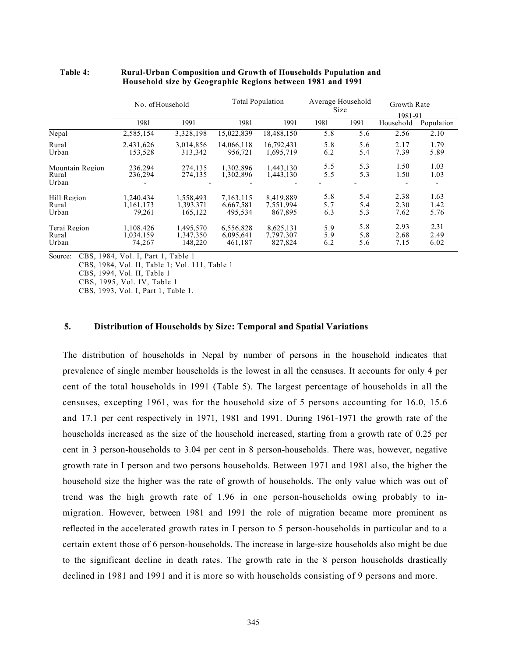|                 | No. of Household |                          |            | <b>Total Population</b> |      | Average Household<br>Size |           | Growth Rate |  |
|-----------------|------------------|--------------------------|------------|-------------------------|------|---------------------------|-----------|-------------|--|
|                 |                  |                          |            |                         |      |                           |           | 1981-91     |  |
|                 | 1981             | 1991                     | 1981       | 1991                    | 1981 | 1991                      | Household | Population  |  |
| Nepal           | 2,585,154        | 3,328,198                | 15,022,839 | 18,488,150              | 5.8  | 5.6                       | 2.56      | 2.10        |  |
| Rural           | 2,431,626        | 3.014.856                | 14,066,118 | 16.792.431              | 5.8  | 5.6                       | 2.17      | 1.79        |  |
| Urban           | 153,528          | 313,342                  | 956,721    | 1,695,719               | 6.2  | 5.4                       | 7.39      | 5.89        |  |
| Mountain Region | 236.294          | 274.135                  | 1.302.896  | 1.443.130               | 5.5  | 5.3                       | 1.50      | 1.03        |  |
| Rural           | 236.294          | 274,135                  | 1.302.896  | 1,443,130               | 5.5  | 5.3                       | 1.50      | 1.03        |  |
| Urban           |                  | $\overline{\phantom{0}}$ |            |                         |      |                           |           |             |  |
| Hill Region     | 1.240.434        | 1.558.493                | 7.163.115  | 8.419.889               | 5.8  | 5.4                       | 2.38      | 1.63        |  |
| Rural           | 1,161,173        | 1,393,371                | 6,667,581  | 7,551,994               | 5.7  | 5.4                       | 2.30      | 1.42        |  |
| Urban           | 79.261           | 165,122                  | 495.534    | 867.895                 | 6.3  | 5.3                       | 7.62      | 5.76        |  |
| Terai Region    | 1.108.426        | 1.495.570                | 6.556.828  | 8.625.131               | 5.9  | 5.8                       | 2.93      | 2.31        |  |
| Rural           | 1.034.159        | 1.347.350                | 6.095.641  | 7,797,307               | 5.9  | 5.8                       | 2.68      | 2.49        |  |
| Urban           | 74.267           | 148,220                  | 461,187    | 827,824                 | 6.2  | 5.6                       | 7.15      | 6.02        |  |

### Table 4: Rural-Urban Composition and Growth of Households Population and Household size by Geographic Regions between 1981 and 1991

Source: CBS, 1984, Vol. I, Part 1, Table 1

CBS, 1984, Vol. II, Table 1; Vol. 111, Table 1

CBS, 1994, Vol. II, Table 1

CBS, 1995, Vol. IV, Table 1

CBS, 1993, Vol. I, Part 1, Table 1.

# 5. Distribution of Households by Size: Temporal and Spatial Variations

The distribution of households in Nepal by number of persons in the household indicates that prevalence of single member households is the lowest in all the censuses. It accounts for only 4 per cent of the total households in 1991 (Table 5). The largest percentage of households in all the censuses, excepting 1961, was for the household size of 5 persons accounting for 16.0, 15.6 and 17.1 per cent respectively in 1971, 1981 and 1991. During 1961-1971 the growth rate of the households increased as the size of the household increased, starting from a growth rate of 0.25 per cent in 3 person-households to 3.04 per cent in 8 person-households. There was, however, negative growth rate in I person and two persons households. Between 1971 and 1981 also, the higher the household size the higher was the rate of growth of households. The only value which was out of trend was the high growth rate of 1.96 in one person-households owing probably to inmigration. However, between 1981 and 1991 the role of migration became more prominent as reflected in the accelerated growth rates in I person to 5 person-households in particular and to a certain extent those of 6 person-households. The increase in large-size households also might be due to the significant decline in death rates. The growth rate in the 8 person households drastically declined in 1981 and 1991 and it is more so with households consisting of 9 persons and more.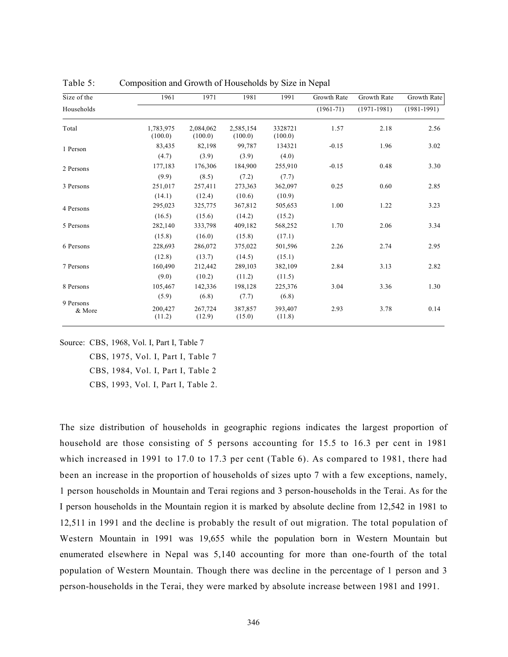| Size of the         | 1961                 | 1971                 | 1981                 | 1991               | Growth Rate   | Growth Rate     | Growth Rate     |
|---------------------|----------------------|----------------------|----------------------|--------------------|---------------|-----------------|-----------------|
| Households          |                      |                      |                      |                    | $(1961 - 71)$ | $(1971 - 1981)$ | $(1981 - 1991)$ |
| Total               | 1,783,975<br>(100.0) | 2,084,062<br>(100.0) | 2,585,154<br>(100.0) | 3328721<br>(100.0) | 1.57          | 2.18            | 2.56            |
| 1 Person            | 83,435               | 82,198               | 99,787               | 134321             | $-0.15$       | 1.96            | 3.02            |
|                     | (4.7)                | (3.9)                | (3.9)                | (4.0)              |               |                 |                 |
| 2 Persons           | 177,183              | 176,306              | 184,900              | 255,910            | $-0.15$       | 0.48            | 3.30            |
|                     | (9.9)                | (8.5)                | (7.2)                | (7.7)              |               |                 |                 |
| 3 Persons           | 251,017              | 257,411              | 273,363              | 362,097            | 0.25          | 0.60            | 2.85            |
|                     | (14.1)               | (12.4)               | (10.6)               | (10.9)             |               |                 |                 |
| 4 Persons           | 295,023              | 325,775              | 367,812              | 505,653            | 1.00          | 1.22            | 3.23            |
|                     | (16.5)               | (15.6)               | (14.2)               | (15.2)             |               |                 |                 |
| 5 Persons           | 282,140              | 333,798              | 409,182              | 568,252            | 1.70          | 2.06            | 3.34            |
|                     | (15.8)               | (16.0)               | (15.8)               | (17.1)             |               |                 |                 |
| 6 Persons           | 228,693              | 286,072              | 375,022              | 501,596            | 2.26          | 2.74            | 2.95            |
|                     | (12.8)               | (13.7)               | (14.5)               | (15.1)             |               |                 |                 |
| 7 Persons           | 160,490              | 212,442              | 289,103              | 382,109            | 2.84          | 3.13            | 2.82            |
|                     | (9.0)                | (10.2)               | (11.2)               | (11.5)             |               |                 |                 |
| 8 Persons           | 105,467              | 142,336              | 198,128              | 225,376            | 3.04          | 3.36            | 1.30            |
|                     | (5.9)                | (6.8)                | (7.7)                | (6.8)              |               |                 |                 |
| 9 Persons<br>& More | 200,427<br>(11.2)    | 267,724<br>(12.9)    | 387,857<br>(15.0)    | 393,407<br>(11.8)  | 2.93          | 3.78            | 0.14            |

Table 5: Composition and Growth of Households by Size in Nepal

Source: CBS, 1968, Vol. I, Part I, Table 7

 CBS, 1975, Vol. I, Part I, Table 7 CBS, 1984, Vol. I, Part I, Table 2 CBS, 1993, Vol. I, Part I, Table 2.

The size distribution of households in geographic regions indicates the largest proportion of household are those consisting of 5 persons accounting for 15.5 to 16.3 per cent in 1981 which increased in 1991 to 17.0 to 17.3 per cent (Table 6). As compared to 1981, there had been an increase in the proportion of households of sizes upto 7 with a few exceptions, namely, 1 person households in Mountain and Terai regions and 3 person-households in the Terai. As for the I person households in the Mountain region it is marked by absolute decline from 12,542 in 1981 to 12,511 in 1991 and the decline is probably the result of out migration. The total population of Western Mountain in 1991 was 19,655 while the population born in Western Mountain but enumerated elsewhere in Nepal was 5,140 accounting for more than one-fourth of the total population of Western Mountain. Though there was decline in the percentage of 1 person and 3 person-households in the Terai, they were marked by absolute increase between 1981 and 1991.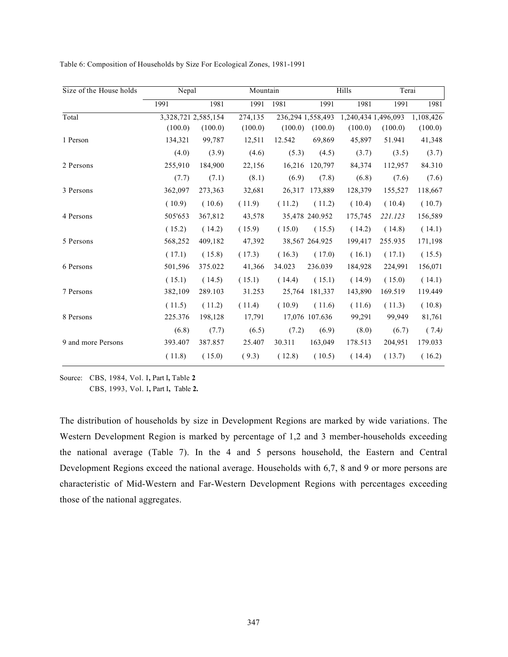| Size of the House holds | Nepal               |         |         | Mountain |                   | Hills               | Terai   |           |
|-------------------------|---------------------|---------|---------|----------|-------------------|---------------------|---------|-----------|
|                         | 1991                | 1981    | 1991    | 1981     | 1991              | 1981                | 1991    | 1981      |
| Total                   | 3,328,721 2,585,154 |         | 274,135 |          | 236,294 1,558,493 | 1,240,434 1,496,093 |         | 1,108,426 |
|                         | (100.0)             | (100.0) | (100.0) | (100.0)  | (100.0)           | (100.0)             | (100.0) | (100.0)   |
| 1 Person                | 134,321             | 99,787  | 12,511  | 12.542   | 69,869            | 45,897              | 51.941  | 41,348    |
|                         | (4.0)               | (3.9)   | (4.6)   | (5.3)    | (4.5)             | (3.7)               | (3.5)   | (3.7)     |
| 2 Persons               | 255,910             | 184,900 | 22,156  | 16,216   | 120,797           | 84,374              | 112,957 | 84.310    |
|                         | (7.7)               | (7.1)   | (8.1)   | (6.9)    | (7.8)             | (6.8)               | (7.6)   | (7.6)     |
| 3 Persons               | 362,097             | 273,363 | 32,681  | 26,317   | 173,889           | 128,379             | 155,527 | 118,667   |
|                         | (10.9)              | (10.6)  | (11.9)  | (11.2)   | (11.2)            | (10.4)              | (10.4)  | (10.7)    |
| 4 Persons               | 505'653             | 367,812 | 43,578  |          | 35,478 240.952    | 175,745             | 221.123 | 156,589   |
|                         | (15.2)              | (14.2)  | (15.9)  | (15.0)   | (15.5)            | (14.2)              | (14.8)  | (14.1)    |
| 5 Persons               | 568,252             | 409,182 | 47,392  |          | 38,567 264.925    | 199,417             | 255.935 | 171,198   |
|                         | (17.1)              | (15.8)  | (17.3)  | (16.3)   | (17.0)            | (16.1)              | (17.1)  | (15.5)    |
| 6 Persons               | 501,596             | 375.022 | 41,366  | 34.023   | 236.039           | 184,928             | 224,991 | 156,071   |
|                         | (15.1)              | (14.5)  | (15.1)  | (14.4)   | (15.1)            | (14.9)              | (15.0)  | (14.1)    |
| 7 Persons               | 382,109             | 289.103 | 31.253  | 25,764   | 181,337           | 143,890             | 169.519 | 119.449   |
|                         | (11.5)              | (11.2)  | (11.4)  | (10.9)   | (11.6)            | (11.6)              | (11.3)  | (10.8)    |
| 8 Persons               | 225.376             | 198,128 | 17,791  |          | 17,076 107.636    | 99,291              | 99,949  | 81,761    |
|                         | (6.8)               | (7.7)   | (6.5)   | (7.2)    | (6.9)             | (8.0)               | (6.7)   | (7.4)     |
| 9 and more Persons      | 393.407             | 387.857 | 25.407  | 30.311   | 163,049           | 178.513             | 204,951 | 179.033   |
|                         | (11.8)              | (15.0)  | (9.3)   | (12.8)   | (10.5)            | (14.4)              | (13.7)  | (16.2)    |

Table 6: Composition of Households by Size For Ecological Zones, 1981-1991

Source: CBS, 1984, Vol. I, Part I, Table 2

CBS, 1993, Vol. I, Part I, Table 2.

The distribution of households by size in Development Regions are marked by wide variations. The Western Development Region is marked by percentage of 1,2 and 3 member-households exceeding the national average (Table 7). In the 4 and 5 persons household, the Eastern and Central Development Regions exceed the national average. Households with 6,7, 8 and 9 or more persons are characteristic of Mid-Western and Far-Western Development Regions with percentages exceeding those of the national aggregates.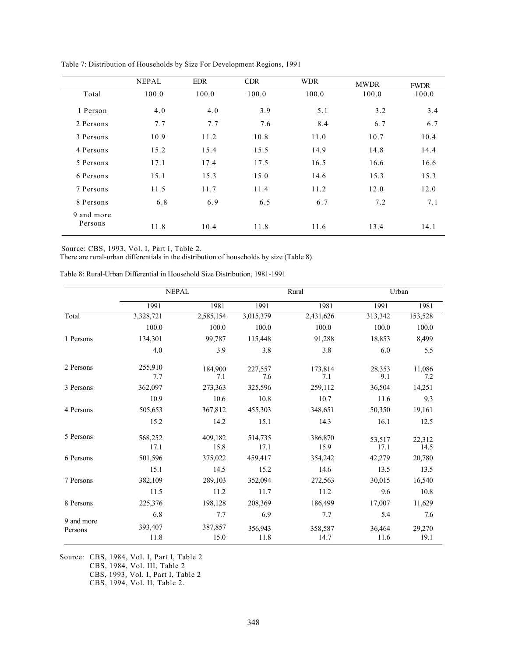|                       | <b>NEPAL</b> | <b>EDR</b> | <b>CDR</b> | <b>WDR</b> | <b>MWDR</b> | <b>FWDR</b> |
|-----------------------|--------------|------------|------------|------------|-------------|-------------|
| Total                 | 100.0        | 100.0      | 100.0      | 100.0      | 100.0       | 100.0       |
| 1 Person              | 4.0          | 4.0        | 3.9        | 5.1        | 3.2         | 3.4         |
| 2 Persons             | 7.7          | 7.7        | 7.6        | 8.4        | 6.7         | 6.7         |
| 3 Persons             | 10.9         | 11.2       | 10.8       | 11.0       | 10.7        | 10.4        |
| 4 Persons             | 15.2         | 15.4       | 15.5       | 14.9       | 14.8        | 14.4        |
| 5 Persons             | 17.1         | 17.4       | 17.5       | 16.5       | 16.6        | 16.6        |
| 6 Persons             | 15.1         | 15.3       | 15.0       | 14.6       | 15.3        | 15.3        |
| 7 Persons             | 11.5         | 11.7       | 11.4       | 11.2       | 12.0        | 12.0        |
| 8 Persons             | 6.8          | 6.9        | 6.5        | 6.7        | 7.2         | 7.1         |
| 9 and more<br>Persons | 11.8         | 10.4       | 11.8       | 11.6       | 13.4        | 14.1        |

Table 7: Distribution of Households by Size For Development Regions, 1991

Source: CBS, 1993, Vol. I, Part I, Table 2.

There are rural-urban differentials in the distribution of households by size (Table 8).

Table 8: Rural-Urban Differential in Household Size Distribution, 1981-1991

|                       | <b>NEPAL</b>    |                 |                 | Rural           | Urban          |                |
|-----------------------|-----------------|-----------------|-----------------|-----------------|----------------|----------------|
|                       | 1991            | 1981            | 1991            | 1981            | 1991           | 1981           |
| Total                 | 3,328,721       | 2,585,154       | 3,015,379       | 2,431,626       | 313,342        | 153,528        |
|                       | 100.0           | 100.0           | 100.0           | 100.0           | 100.0          | 100.0          |
| 1 Persons             | 134,301         | 99,787          | 115,448         | 91,288          | 18,853         | 8,499          |
|                       | 4.0             | 3.9             | 3.8             | 3.8             | 6.0            | 5.5            |
| 2 Persons             | 255,910<br>7.7  | 184,900<br>7.1  | 227,557<br>7.6  | 173,814<br>7.1  | 28.353<br>9.1  | 11.086<br>7.2  |
| 3 Persons             | 362,097         | 273,363         | 325,596         | 259,112         | 36,504         | 14,251         |
|                       | 10.9            | 10.6            | 10.8            | 10.7            | 11.6           | 9.3            |
| 4 Persons             | 505,653         | 367,812         | 455,303         | 348,651         | 50,350         | 19,161         |
|                       | 15.2            | 14.2            | 15.1            | 14.3            | 16.1           | 12.5           |
| 5 Persons             | 568,252<br>17.1 | 409,182<br>15.8 | 514,735<br>17.1 | 386,870<br>15.9 | 53,517<br>17.1 | 22,312<br>14.5 |
| 6 Persons             | 501,596         | 375,022         | 459,417         | 354,242         | 42,279         | 20,780         |
|                       | 15.1            | 14.5            | 15.2            | 14.6            | 13.5           | 13.5           |
| 7 Persons             | 382,109         | 289,103         | 352,094         | 272,563         | 30,015         | 16,540         |
|                       | 11.5            | 11.2            | 11.7            | 11.2            | 9.6            | 10.8           |
| 8 Persons             | 225,376         | 198,128         | 208,369         | 186,499         | 17,007         | 11,629         |
|                       | 6.8             | 7.7             | 6.9             | 7.7             | 5.4            | 7.6            |
| 9 and more<br>Persons | 393,407<br>11.8 | 387,857<br>15.0 | 356,943<br>11.8 | 358,587<br>14.7 | 36,464<br>11.6 | 29,270<br>19.1 |

Source: CBS, 1984, Vol. I, Part I, Table 2 CBS, 1984, Vol. III, Table 2 CBS, 1993, Vol. I, Part I, Table 2 CBS, 1994, Vol. II, Table 2.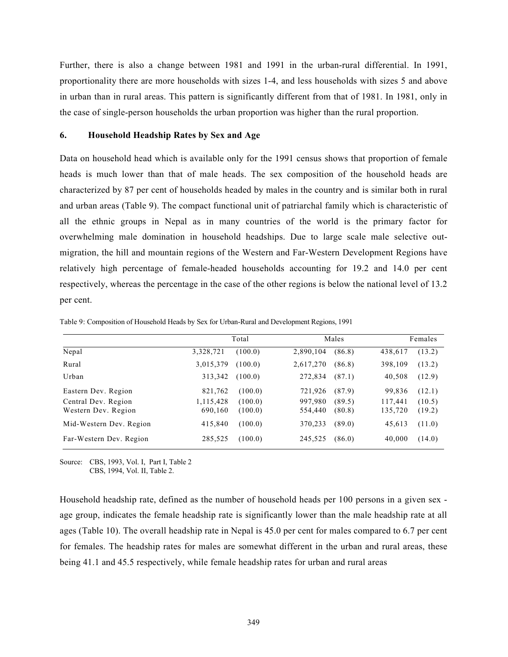Further, there is also a change between 1981 and 1991 in the urban-rural differential. In 1991, proportionality there are more households with sizes 1-4, and less households with sizes 5 and above in urban than in rural areas. This pattern is significantly different from that of 1981. In 1981, only in the case of single-person households the urban proportion was higher than the rural proportion.

### 6. Household Headship Rates by Sex and Age

Data on household head which is available only for the 1991 census shows that proportion of female heads is much lower than that of male heads. The sex composition of the household heads are characterized by 87 per cent of households headed by males in the country and is similar both in rural and urban areas (Table 9). The compact functional unit of patriarchal family which is characteristic of all the ethnic groups in Nepal as in many countries of the world is the primary factor for overwhelming male domination in household headships. Due to large scale male selective outmigration, the hill and mountain regions of the Western and Far-Western Development Regions have relatively high percentage of female-headed households accounting for 19.2 and 14.0 per cent respectively, whereas the percentage in the case of the other regions is below the national level of 13.2 per cent.

|                                            |                      | Total              |                    | Males            |                    | Females          |
|--------------------------------------------|----------------------|--------------------|--------------------|------------------|--------------------|------------------|
| Nepal                                      | 3,328,721            | (100.0)            | 2,890,104          | (86.8)           | 438,617            | (13.2)           |
| Rural                                      | 3,015,379            | (100.0)            | 2,617,270          | (86.8)           | 398,109            | (13.2)           |
| Urban                                      | 313,342              | (100.0)            | 272,834            | (87.1)           | 40,508             | (12.9)           |
| Eastern Dev. Region                        | 821,762              | (100.0)            | 721,926            | (87.9)           | 99,836             | (12.1)           |
| Central Dev. Region<br>Western Dev. Region | 1,115,428<br>690,160 | (100.0)<br>(100.0) | 997,980<br>554,440 | (89.5)<br>(80.8) | 117,441<br>135,720 | (10.5)<br>(19.2) |
| Mid-Western Dev. Region                    | 415,840              | (100.0)            | 370,233            | (89.0)           | 45,613             | (11.0)           |
| Far-Western Dev. Region                    | 285,525              | (100.0)            | 245,525            | (86.0)           | 40,000             | (14.0)           |

Table 9: Composition of Household Heads by Sex for Urban-Rural and Development Regions, 1991

Source: CBS, 1993, Vol. I, Part I, Table 2 CBS, 1994, Vol. II, Table 2.

Household headship rate, defined as the number of household heads per 100 persons in a given sex age group, indicates the female headship rate is significantly lower than the male headship rate at all ages (Table 10). The overall headship rate in Nepal is 45.0 per cent for males compared to 6.7 per cent for females. The headship rates for males are somewhat different in the urban and rural areas, these being 41.1 and 45.5 respectively, while female headship rates for urban and rural areas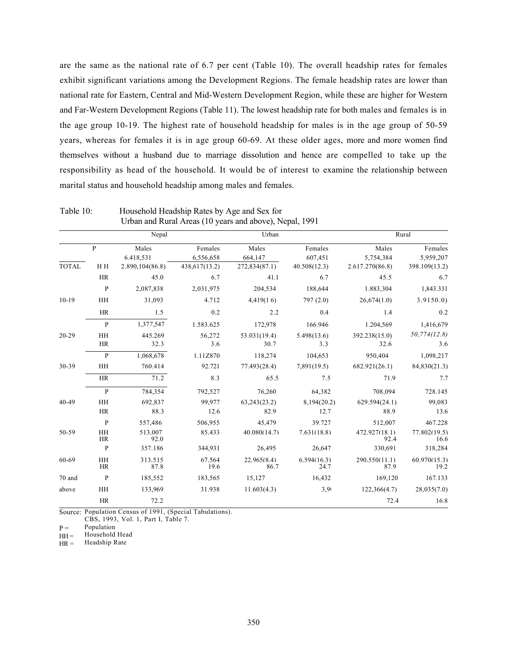are the same as the national rate of 6.7 per cent (Table 10). The overall headship rates for females exhibit significant variations among the Development Regions. The female headship rates are lower than national rate for Eastern, Central and Mid-Western Development Region, while these are higher for Western and Far-Western Development Regions (Table 11). The lowest headship rate for both males and females is in the age group 10-19. The highest rate of household headship for males is in the age group of 50-59 years, whereas for females it is in age group 60-69. At these older ages, more and more women find themselves without a husband due to marriage dissolution and hence are compelled to take up the responsibility as head of the household. It would be of interest to examine the relationship between marital status and household headship among males and females.

|              |                 | Nepal              |                      | Urban                |                     | Rural                 |                      |  |  |
|--------------|-----------------|--------------------|----------------------|----------------------|---------------------|-----------------------|----------------------|--|--|
|              | P               | Males<br>6.418,531 | Females<br>6,556,658 | Males<br>664,147     | Females<br>607,451  | Males<br>5,754,384    | Females<br>5,959,207 |  |  |
| <b>TOTAL</b> | H H             | 2.890, 104(86.8)   | 438,617(13.2)        | 272,834(87.1)        | 40.508(12.3)        | 2.617.270(86.8)       | 398.109(13.2)        |  |  |
|              | <b>HR</b>       | 45.0               | 6.7                  | 41.1                 | 6.7                 | 45.5                  | 6.7                  |  |  |
|              | $\mathbf{P}$    | 2,087,838          | 2,031,975            | 204,534              | 188,644             | 1.883,304             | 1,843.331            |  |  |
| $10-19$      | <b>HH</b>       | 31,093             | 4.712                | 4,419(16)            | 797(2.0)            | 26,674(1.0)           | 3.9150.0             |  |  |
|              | HR              | 1.5                | 0.2                  | 2.2                  | 0.4                 | 1.4                   | 0.2                  |  |  |
|              | $\mathbf{P}$    | 1,377,547          | 1.583.625            | 172,978              | 166.946             | 1.204,569             | 1,416,679            |  |  |
| $20 - 29$    | <b>HH</b><br>HR | 445.269<br>32.3    | 56,272<br>3.6        | 53.031(19.4)<br>30.7 | 5.498(13.6)<br>3.3  | 392.238(15.0)<br>32.6 | 50,774(12.8)<br>3.6  |  |  |
|              | $\mathbf{P}$    | 1,068,678          | 1.11Z870             | 118,274              | 104,653             | 950,404               | 1,098,217            |  |  |
| 30-39        | HH              | 760.414            | 92.721               | 77.493(28.4)         | 7,891(19.5)         | 682.921(26.1)         | 84,830(21.3)         |  |  |
|              | <b>HR</b>       | 71.2               | 8.3                  | 65.5                 | 7.5                 | 71.9                  | 7.7                  |  |  |
|              | $\mathbf{P}$    | 784,354            | 792,527              | 76,260               | 64,382              | 708,094               | 728.145              |  |  |
| $40 - 49$    | <b>HH</b>       | 692,837            | 99,977               | 63,243(23.2)         | 8,194(20.2)         | 629.594(24.1)         | 99,083               |  |  |
|              | <b>HR</b>       | 88.3               | 12.6                 | 82.9                 | 12.7                | 88.9                  | 13.6                 |  |  |
|              | P               | 557,486            | 506,955              | 45,479               | 39.727              | 512,007               | 467.228              |  |  |
| 50-59        | HH<br><b>HR</b> | 513.007<br>92.0    | 85.433               | 40.080(14.7)         | 7.631(18.8)         | 472.927(18.1)<br>92.4 | 77.802(19.5)<br>16.6 |  |  |
|              | P               | 357.186            | 344,931              | 26,495               | 26,647              | 330,691               | 318,284              |  |  |
| 60-69        | HH<br>HR        | 313.515<br>87.8    | 67.564<br>19.6       | 22.965(8.4)<br>86.7  | 6.594(16.3)<br>24.7 | 290.550(11.1)<br>87.9 | 60.970(15.3)<br>19.2 |  |  |
| 70 and       | P               | 185,552            | 183,565              | 15,127               | 16,432              | 169,120               | 167.133              |  |  |
| above        | HH              | 133.969            | 31.938               | 11.603(4.3)          | 3,9                 | 122,366(4.7)          | 28,035(7.0)          |  |  |
|              | HR              | 72.2               |                      |                      |                     | 72.4                  | 16.8                 |  |  |

Table 10: Household Headship Rates by Age and Sex for Urban and Rural Areas (10 years and above), Nepal, 1991

Source: Population Census of 1991, (Special Tabulations). CBS, 1993, Vol. 1, Part I, Table 7.

 $P =$ Population

 $HH =$ Household Head

 $HR =$ Headship Rate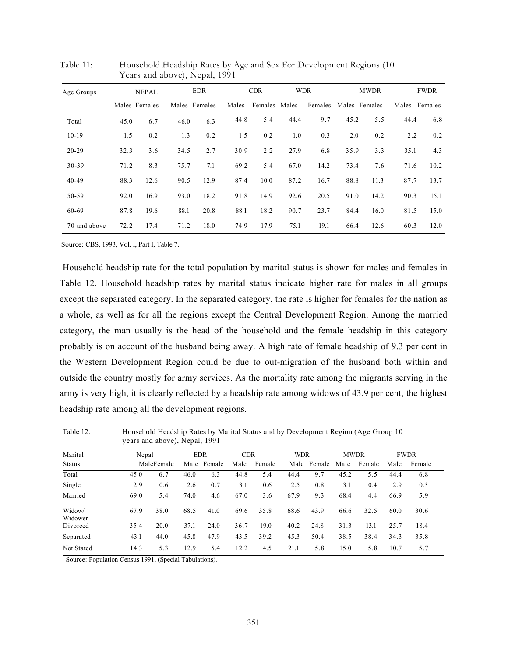| Age Groups   |      | <b>NEPAL</b>  |      | <b>EDR</b>    |       | <b>CDR</b>    |      | <b>WDR</b> |      | <b>MWDR</b>   |               | <b>FWDR</b> |
|--------------|------|---------------|------|---------------|-------|---------------|------|------------|------|---------------|---------------|-------------|
|              |      | Males Females |      | Males Females | Males | Females Males |      | Females    |      | Males Females | Males Females |             |
| Total        | 45.0 | 6.7           | 46.0 | 6.3           | 44.8  | 5.4           | 44.4 | 9.7        | 45.2 | 5.5           | 44.4          | 6.8         |
| $10-19$      | 1.5  | 0.2           | 1.3  | 0.2           | 1.5   | 0.2           | 1.0  | 0.3        | 2.0  | 0.2           | 2.2           | 0.2         |
| $20 - 29$    | 32.3 | 3.6           | 34.5 | 2.7           | 30.9  | 2.2           | 27.9 | 6.8        | 35.9 | 3.3           | 35.1          | 4.3         |
| 30-39        | 71.2 | 8.3           | 75.7 | 7.1           | 69.2  | 5.4           | 67.0 | 14.2       | 73.4 | 7.6           | 71.6          | 10.2        |
| $40 - 49$    | 88.3 | 12.6          | 90.5 | 12.9          | 87.4  | 10.0          | 87.2 | 16.7       | 88.8 | 11.3          | 87.7          | 13.7        |
| 50-59        | 92.0 | 16.9          | 93.0 | 18.2          | 91.8  | 14.9          | 92.6 | 20.5       | 91.0 | 14.2          | 90.3          | 15.1        |
| 60-69        | 87.8 | 19.6          | 88.1 | 20.8          | 88.1  | 18.2          | 90.7 | 23.7       | 84.4 | 16.0          | 81.5          | 15.0        |
| 70 and above | 72.2 | 17.4          | 71.2 | 18.0          | 74.9  | 17.9          | 75.1 | 19.1       | 66.4 | 12.6          | 60.3          | 12.0        |

Table 11: Household Headship Rates by Age and Sex For Development Regions (10 Years and above), Nepal, 1991

Source: CBS, 1993, Vol. I, Part I, Table 7.

Household headship rate for the total population by marital status is shown for males and females in Table 12. Household headship rates by marital status indicate higher rate for males in all groups except the separated category. In the separated category, the rate is higher for females for the nation as a whole, as well as for all the regions except the Central Development Region. Among the married category, the man usually is the head of the household and the female headship in this category probably is on account of the husband being away. A high rate of female headship of 9.3 per cent in the Western Development Region could be due to out-migration of the husband both within and outside the country mostly for army services. As the mortality rate among the migrants serving in the army is very high, it is clearly reflected by a headship rate among widows of 43.9 per cent, the highest headship rate among all the development regions.

| Marital           | Nepal<br>MaleFemale |      | <b>EDR</b>  |      | <b>CDR</b> |        | <b>WDR</b> |        | <b>MWDR</b> |        | <b>FWDR</b> |        |
|-------------------|---------------------|------|-------------|------|------------|--------|------------|--------|-------------|--------|-------------|--------|
| <b>Status</b>     |                     |      | Male Female |      | Male       | Female | Male       | Female | Male        | Female | Male        | Female |
| Total             | 45.0                | 6.7  | 46.0        | 6.3  | 44.8       | 5.4    | 44.4       | 9.7    | 45.2        | 5.5    | 44.4        | 6.8    |
| Single            | 2.9                 | 0.6  | 2.6         | 0.7  | 3.1        | 0.6    | 2.5        | 0.8    | 3.1         | 0.4    | 2.9         | 0.3    |
| Married           | 69.0                | 5.4  | 74.0        | 4.6  | 67.0       | 3.6    | 67.9       | 9.3    | 68.4        | 4.4    | 66.9        | 5.9    |
| Widow/<br>Widower | 67.9                | 38.0 | 68.5        | 41.0 | 69.6       | 35.8   | 68.6       | 43.9   | 66.6        | 32.5   | 60.0        | 30.6   |
| Divorced          | 35.4                | 20.0 | 37.1        | 24.0 | 36.7       | 19.0   | 40.2       | 24.8   | 31.3        | 13.1   | 25.7        | 18.4   |
| Separated         | 43.1                | 44.0 | 45.8        | 47.9 | 43.5       | 39.2   | 45.3       | 50.4   | 38.5        | 38.4   | 34.3        | 35.8   |
| Not Stated        | 14.3                | 5.3  | 12.9        | 5.4  | 12.2       | 4.5    | 21.1       | 5.8    | 15.0        | 5.8    | 10.7        | 5.7    |

Table 12: Household Headship Rates by Marital Status and by Development Region (Age Group 10 years and above), Nepal, 1991

Source: Population Census 1991, (Special Tabulations).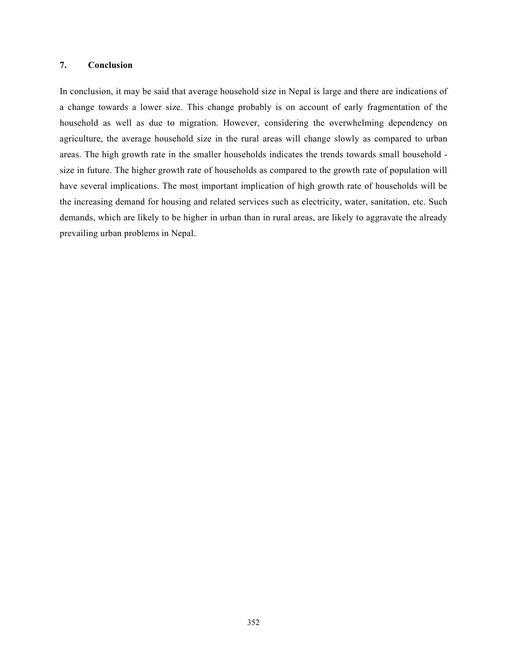## 7. Conclusion

In conclusion, it may be said that average household size in Nepal is large and there are indications of a change towards a lower size. This change probably is on account of early fragmentation of the household as well as due to migration. However, considering the overwhelming dependency on agriculture, the average household size in the rural areas will change slowly as compared to urban areas. The high growth rate in the smaller households indicates the trends towards small household size in future. The higher growth rate of households as compared to the growth rate of population will have several implications. The most important implication of high growth rate of households will be the increasing demand for housing and related services such as electricity, water, sanitation, etc. Such demands, which are likely to be higher in urban than in rural areas, are likely to aggravate the already prevailing urban problems in Nepal.